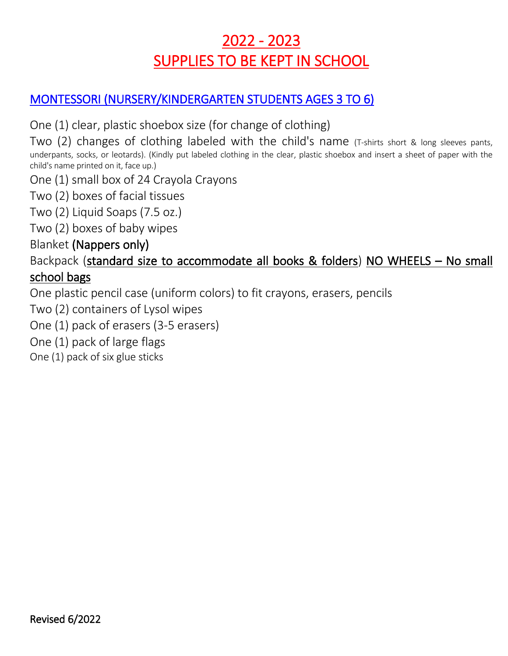### 2022 - 2023 SUPPLIES TO BE KEPT IN SCHOOL

### MONTESSORI (NURSERY/KINDERGARTEN STUDENTS AGES 3 TO 6)

One (1) clear, plastic shoebox size (for change of clothing)

Two (2) changes of clothing labeled with the child's name (T-shirts short & long sleeves pants, underpants, socks, or leotards). (Kindly put labeled clothing in the clear, plastic shoebox and insert a sheet of paper with the child's name printed on it, face up.)

One (1) small box of 24 Crayola Crayons

Two (2) boxes of facial tissues

Two (2) Liquid Soaps (7.5 oz.)

Two (2) boxes of baby wipes

#### Blanket (Nappers only)

#### Backpack (standard size to accommodate all books & folders) NO WHEELS – No small school bags

One plastic pencil case (uniform colors) to fit crayons, erasers, pencils

Two (2) containers of Lysol wipes

One (1) pack of erasers (3-5 erasers)

One (1) pack of large flags

One (1) pack of six glue sticks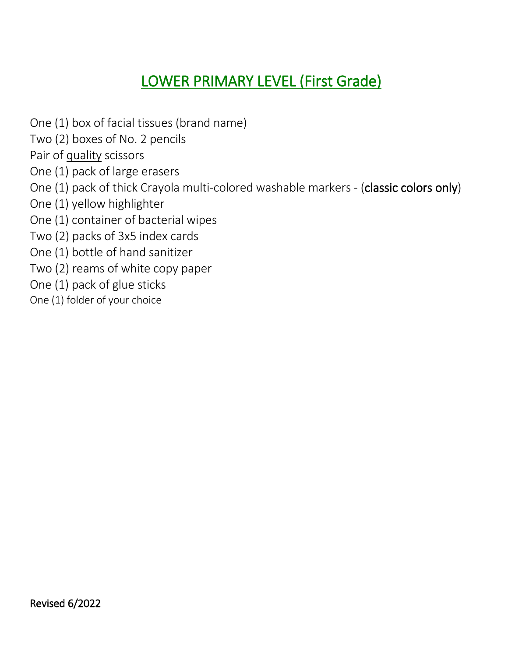## LOWER PRIMARY LEVEL (First Grade)

One (1) box of facial tissues (brand name)

Two (2) boxes of No. 2 pencils

Pair of quality scissors

One (1) pack of large erasers

- One (1) pack of thick Crayola multi-colored washable markers (classic colors only)
- One (1) yellow highlighter
- One (1) container of bacterial wipes

Two (2) packs of 3x5 index cards

One (1) bottle of hand sanitizer

Two (2) reams of white copy paper

One (1) pack of glue sticks

One (1) folder of your choice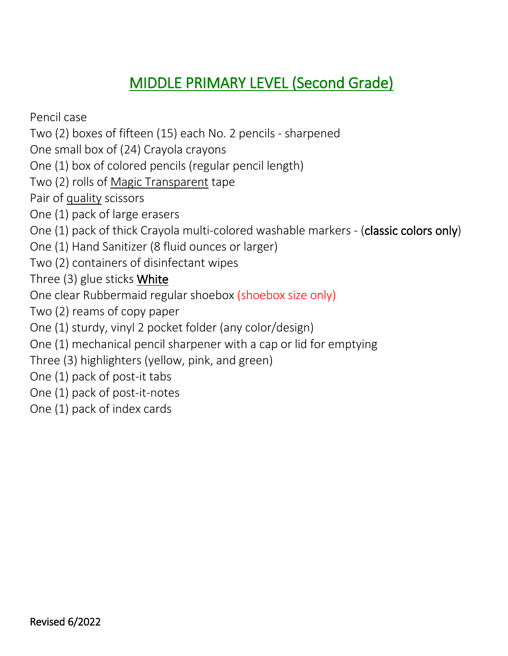### MIDDLE PRIMARY LEVEL (Second Grade)

Pencil case

Two (2) boxes of fifteen (15) each No. 2 pencils - sharpened

One small box of (24) Crayola crayons

One (1) box of colored pencils (regular pencil length)

Two (2) rolls of Magic Transparent tape

Pair of quality scissors

One (1) pack of large erasers

One (1) pack of thick Crayola multi-colored washable markers - (classic colors only)

One (1) Hand Sanitizer (8 fluid ounces or larger)

Two (2) containers of disinfectant wipes

Three (3) glue sticks White

One clear Rubbermaid regular shoebox (shoebox size only)

Two (2) reams of copy paper

One (1) sturdy, vinyl 2 pocket folder (any color/design)

One (1) mechanical pencil sharpener with a cap or lid for emptying

Three (3) highlighters (yellow, pink, and green)

One (1) pack of post-it tabs

One (1) pack of post-it-notes

One (1) pack of index cards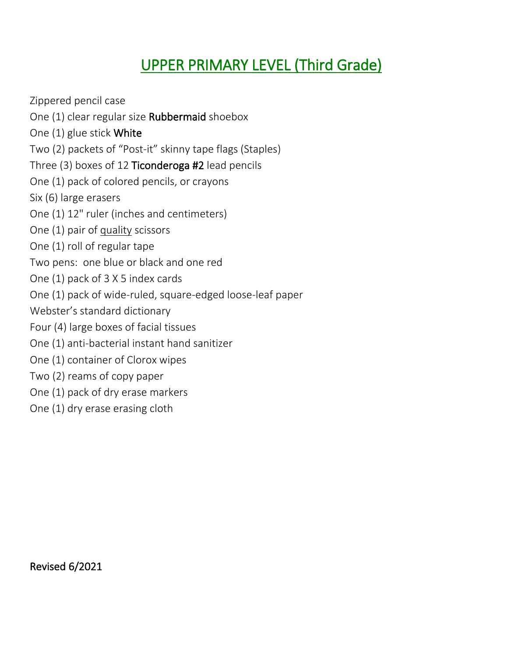## UPPER PRIMARY LEVEL (Third Grade)

Zippered pencil case One (1) clear regular size Rubbermaid shoebox One (1) glue stick White Two (2) packets of "Post-it" skinny tape flags (Staples) Three (3) boxes of 12 Ticonderoga #2 lead pencils One (1) pack of colored pencils, or crayons Six (6) large erasers One (1) 12" ruler (inches and centimeters) One (1) pair of quality scissors One (1) roll of regular tape Two pens: one blue or black and one red One (1) pack of 3 X 5 index cards One (1) pack of wide-ruled, square-edged loose-leaf paper Webster's standard dictionary Four (4) large boxes of facial tissues One (1) anti-bacterial instant hand sanitizer One (1) container of Clorox wipes Two (2) reams of copy paper One (1) pack of dry erase markers One (1) dry erase erasing cloth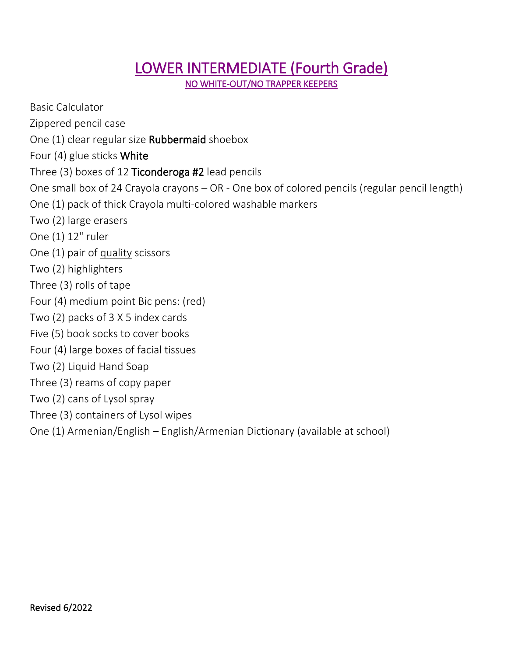# LOWER INTERMEDIATE (Fourth Grade)

NO WHITE-OUT/NO TRAPPER KEEPERS

Basic Calculator Zippered pencil case One (1) clear regular size Rubbermaid shoebox Four (4) glue sticks White Three (3) boxes of 12 Ticonderoga #2 lead pencils One small box of 24 Crayola crayons – OR - One box of colored pencils (regular pencil length) One (1) pack of thick Crayola multi-colored washable markers Two (2) large erasers One (1) 12" ruler One (1) pair of quality scissors Two (2) highlighters Three (3) rolls of tape Four (4) medium point Bic pens: (red) Two (2) packs of 3 X 5 index cards Five (5) book socks to cover books Four (4) large boxes of facial tissues Two (2) Liquid Hand Soap Three (3) reams of copy paper Two (2) cans of Lysol spray Three (3) containers of Lysol wipes One (1) Armenian/English – English/Armenian Dictionary (available at school)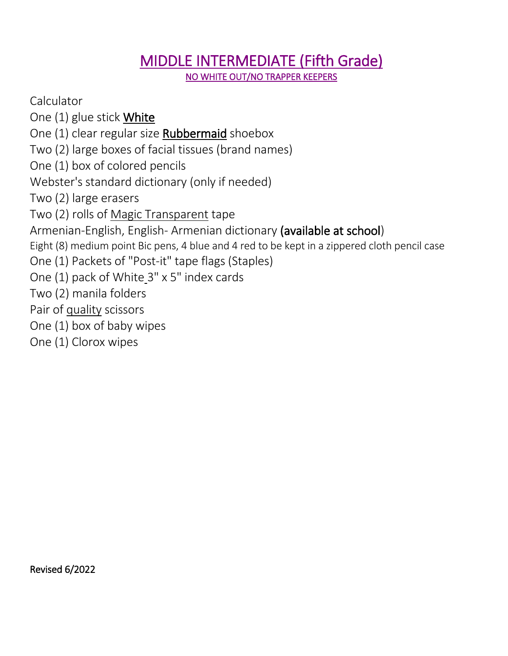## MIDDLE INTERMEDIATE (Fifth Grade)

NO WHITE OUT/NO TRAPPER KEEPERS

**Calculator** 

One (1) glue stick **White** 

One (1) clear regular size Rubbermaid shoebox

Two (2) large boxes of facial tissues (brand names)

One (1) box of colored pencils

Webster's standard dictionary (only if needed)

Two (2) large erasers

Two (2) rolls of Magic Transparent tape

Armenian-English, English- Armenian dictionary (available at school)

Eight (8) medium point Bic pens, 4 blue and 4 red to be kept in a zippered cloth pencil case

One (1) Packets of "Post-it" tape flags (Staples)

One (1) pack of White\_3" x 5" index cards

Two (2) manila folders

Pair of quality scissors

One (1) box of baby wipes

One (1) Clorox wipes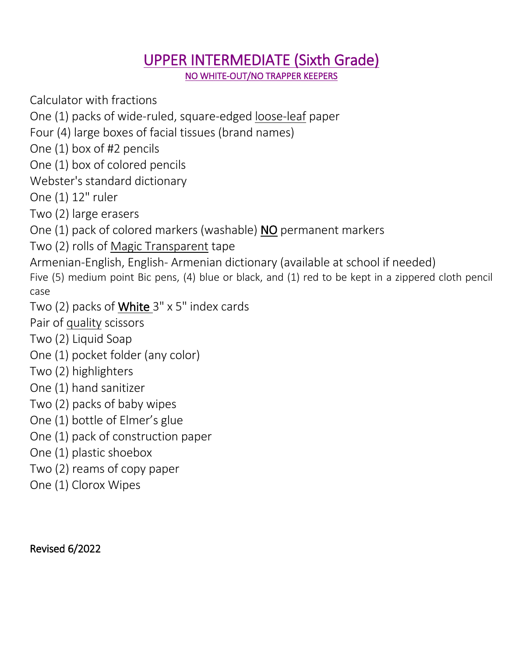#### UPPER INTERMEDIATE (Sixth Grade) NO WHITE-OUT/NO TRAPPER KEEPERS

Calculator with fractions

One (1) packs of wide-ruled, square-edged loose-leaf paper

Four (4) large boxes of facial tissues (brand names)

One (1) box of #2 pencils

One (1) box of colored pencils

Webster's standard dictionary

One (1) 12" ruler

Two (2) large erasers

One (1) pack of colored markers (washable) NO permanent markers

Two (2) rolls of Magic Transparent tape

Armenian-English, English- Armenian dictionary (available at school if needed)

Five (5) medium point Bic pens, (4) blue or black, and (1) red to be kept in a zippered cloth pencil case

Two (2) packs of White 3" x 5" index cards

Pair of quality scissors

- Two (2) Liquid Soap
- One (1) pocket folder (any color)
- Two (2) highlighters
- One (1) hand sanitizer
- Two (2) packs of baby wipes
- One (1) bottle of Elmer's glue
- One (1) pack of construction paper
- One (1) plastic shoebox
- Two (2) reams of copy paper
- One (1) Clorox Wipes